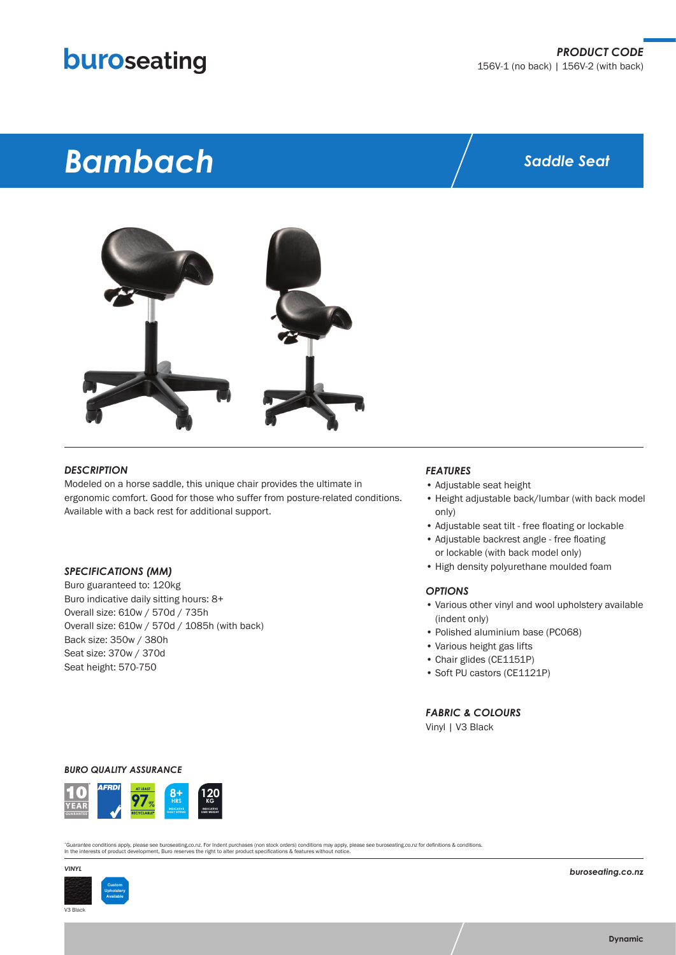## buroseating

# *Bambach*

### *Saddle Seat*



#### *DESCRIPTION*

Modeled on a horse saddle, this unique chair provides the ultimate in ergonomic comfort. Good for those who suffer from posture-related conditions. Available with a back rest for additional support.

#### *SPECIFICATIONS (MM)*

Buro guaranteed to: 120kg Buro indicative daily sitting hours: 8+ Overall size: 610w / 570d / 735h Overall size: 610w / 570d / 1085h (with back) Back size: 350w / 380h Seat size: 370w / 370d Seat height: 570-750

#### *FEATURES*

- Adjustable seat height
- Height adjustable back/lumbar (with back model only)
- Adjustable seat tilt free floating or lockable
- Adjustable backrest angle free floating or lockable (with back model only)
- High density polyurethane moulded foam

#### *OPTIONS*

- Various other vinyl and wool upholstery available (indent only)
- Polished aluminium base (PC068)
- Various height gas lifts
- Chair glides (CE1151P)
- Soft PU castors (CE1121P)

*FABRIC & COLOURS*

Vinyl | V3 Black

#### *BURO QUALITY ASSURANCE*



"Guarantee conditions apply, please see buroseating.co.nz. For Indent purchases (non stock orders) conditions may apply, please see buroseating.co.nz for definitions & conditions.<br>In the interests of product development, B



*buroseating.co.nz*